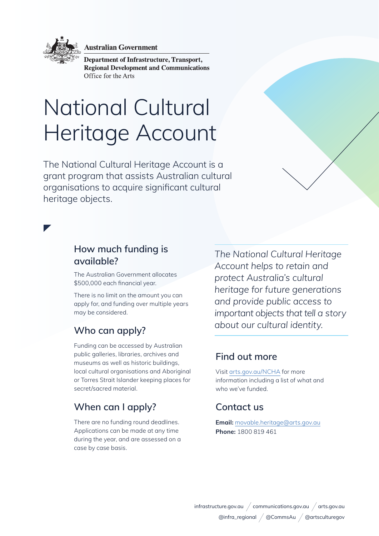

**Australian Government** 

**Department of Infrastructure, Transport, Regional Development and Communications** Office for the Arts

# National Cultural Heritage Account

The National Cultural Heritage Account is a grant program that assists Australian cultural organisations to acquire significant cultural heritage objects.

## **How much funding is available?**

The Australian Government allocates \$500,000 each financial year.

There is no limit on the amount you can apply for, and funding over multiple years may be considered.

# **Who can apply?**

Funding can be accessed by Australian public galleries, libraries, archives and museums as well as historic buildings, local cultural organisations and Aboriginal or Torres Strait Islander keeping places for secret/sacred material.

# **When can I apply?**

There are no funding round deadlines. Applications can be made at any time during the year, and are assessed on a case by case basis.

*The National Cultural Heritage Account helps to retain and protect Australia's cultural heritage for future generations and provide public access to important objects that tell a story about our cultural identity.* 

### **Find out more**

Visit [arts.gov.au/NCHA](http://www.arts.gov.au/NCHA) for more information including a list of what and who we've funded.

### **Contact us**

**Email:** [movable.heritage@arts.gov.au](mailto:movable.heritage%40arts.gov.au?subject=) **Phone:** 1800 819 461

 $infrastructure.gov.au \,\middle/ \,\, communications.gov.au \,\middle/ \,\, arts.gov.au$ @infra\_regional / @CommsAu / @artsculturegov